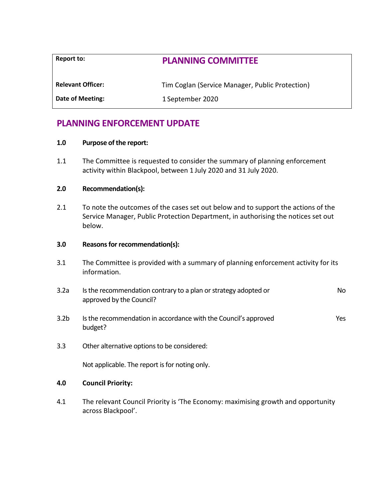| Report to:               | <b>PLANNING COMMITTEE</b>                       |
|--------------------------|-------------------------------------------------|
| <b>Relevant Officer:</b> | Tim Coglan (Service Manager, Public Protection) |
| Date of Meeting:         | 1 September 2020                                |

# **PLANNING ENFORCEMENT UPDATE**

## **1.0 Purpose of the report:**

1.1 The Committee is requested to consider the summary of planning enforcement activity within Blackpool, between 1 July 2020 and 31 July 2020.

# **2.0 Recommendation(s):**

2.1 To note the outcomes of the cases set out below and to support the actions of the Service Manager, Public Protection Department, in authorising the notices set out below.

# **3.0 Reasons for recommendation(s):**

- 3.1 The Committee is provided with a summary of planning enforcement activity for its information.
- 3.2a Is the recommendation contrary to a plan or strategy adopted or approved by the Council? No
- 3.2b Is the recommendation in accordance with the Council's approved budget? Yes
- 3.3 Other alternative options to be considered:

Not applicable. The report is for noting only.

# **4.0 Council Priority:**

4.1 The relevant Council Priority is 'The Economy: maximising growth and opportunity across Blackpool'.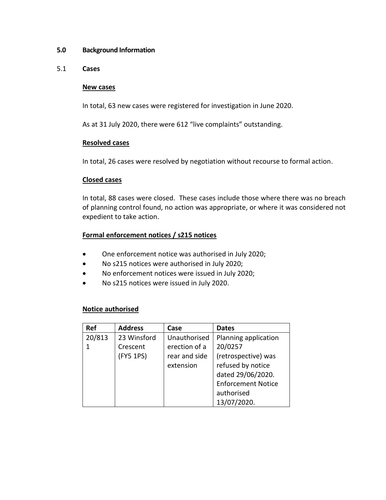# **5.0 Background Information**

### 5.1 **Cases**

#### 3.1 **New cases**

In total, 63 new cases were registered for investigation in June 2020.

As at 31 July 2020, there were 612 "live complaints" outstanding.

### **Resolved cases**

In total, 26 cases were resolved by negotiation without recourse to formal action.

### **Closed cases**

In total, 88 cases were closed. These cases include those where there was no breach of planning control found, no action was appropriate, or where it was considered not expedient to take action.

# **Formal enforcement notices / s215 notices**

- One enforcement notice was authorised in July 2020;
- No s215 notices were authorised in July 2020;
- No enforcement notices were issued in July 2020;
- No s215 notices were issued in July 2020.

# **Notice authorised**

| <b>Ref</b> | <b>Address</b> | Case          | <b>Dates</b>              |
|------------|----------------|---------------|---------------------------|
| 20/813     | 23 Winsford    | Unauthorised  | Planning application      |
|            | Crescent       | erection of a | 20/0257                   |
|            | (FY5 1PS)      | rear and side | (retrospective) was       |
|            |                | extension     | refused by notice         |
|            |                |               | dated 29/06/2020.         |
|            |                |               | <b>Enforcement Notice</b> |
|            |                |               | authorised                |
|            |                |               | 13/07/2020.               |